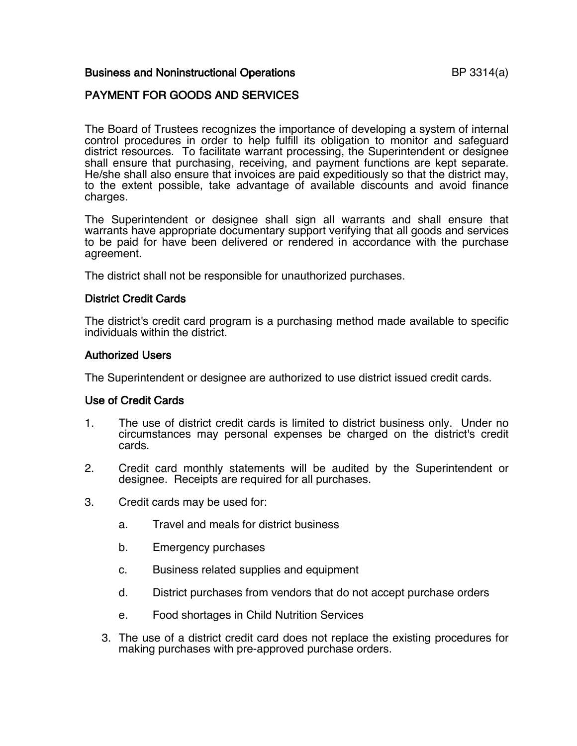### Business and Noninstructional Operations **BUSINESS** BP 3314(a)

# PAYMENT FOR GOODS AND SERVICES

The Board of Trustees recognizes the importance of developing a system of internal control procedures in order to help fulfill its obligation to monitor and safeguard district resources. To facilitate warrant processing, the Superintendent or designee shall ensure that purchasing, receiving, and payment functions are kept separate. He/she shall also ensure that invoices are paid expeditiously so that the district may, to the extent possible, take advantage of available discounts and avoid finance charges.

The Superintendent or designee shall sign all warrants and shall ensure that warrants have appropriate documentary support verifying that all goods and services to be paid for have been delivered or rendered in accordance with the purchase agreement.

The district shall not be responsible for unauthorized purchases.

#### District Credit Cards

The district's credit card program is a purchasing method made available to specific individuals within the district.

#### Authorized Users

The Superintendent or designee are authorized to use district issued credit cards.

### Use of Credit Cards

- 1. The use of district credit cards is limited to district business only. Under no circumstances may personal expenses be charged on the district's credit cards.
- 2. Credit card monthly statements will be audited by the Superintendent or designee. Receipts are required for all purchases.
- 3. Credit cards may be used for:
	- a. Travel and meals for district business
	- b. Emergency purchases
	- c. Business related supplies and equipment
	- d. District purchases from vendors that do not accept purchase orders
	- e. Food shortages in Child Nutrition Services
	- 3. The use of a district credit card does not replace the existing procedures for making purchases with pre-approved purchase orders.